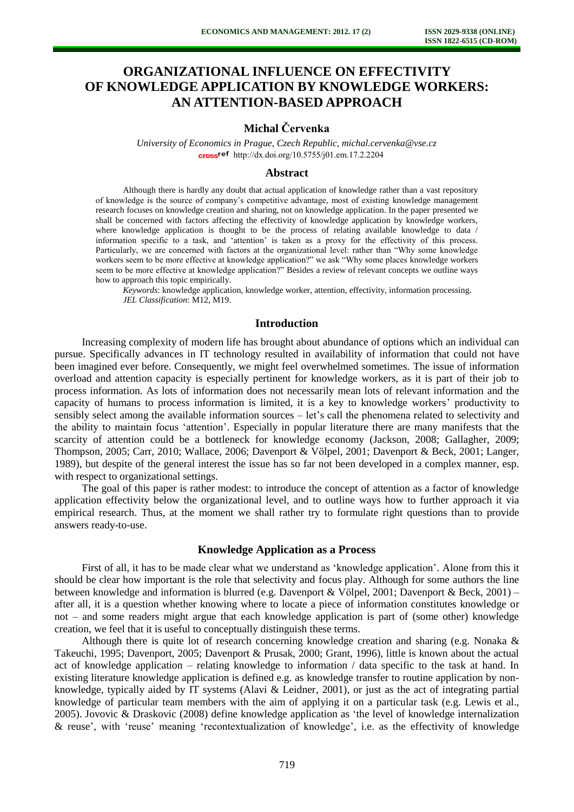# **ORGANIZATIONAL INFLUENCE ON EFFECTIVITY OF KNOWLEDGE APPLICATION BY KNOWLEDGE WORKERS: AN ATTENTION-BASED APPROACH**

# **Michal Červenka**

*University of Economics in Prague, Czech Republic, michal.cervenka@vse.cz* [http://dx.doi.org/10.5755/j01.e](http://dx.doi.org/10.5755/j01.em.17.2.2204)m.17.2.2204

#### **Abstract**

Although there is hardly any doubt that actual application of knowledge rather than a vast repository of knowledge is the source of company's competitive advantage, most of existing knowledge management research focuses on knowledge creation and sharing, not on knowledge application. In the paper presented we shall be concerned with factors affecting the effectivity of knowledge application by knowledge workers, where knowledge application is thought to be the process of relating available knowledge to data / information specific to a task, and 'attention' is taken as a proxy for the effectivity of this process. Particularly, we are concerned with factors at the organizational level: rather than "Why some knowledge workers seem to be more effective at knowledge application?" we ask "Why some places knowledge workers seem to be more effective at knowledge application?" Besides a review of relevant concepts we outline ways how to approach this topic empirically.

*Keywords*: knowledge application, knowledge worker, attention, effectivity, information processing. *JEL Classification*: M12, M19.

## **Introduction**

Increasing complexity of modern life has brought about abundance of options which an individual can pursue. Specifically advances in IT technology resulted in availability of information that could not have been imagined ever before. Consequently, we might feel overwhelmed sometimes. The issue of information overload and attention capacity is especially pertinent for knowledge workers, as it is part of their job to process information. As lots of information does not necessarily mean lots of relevant information and the capacity of humans to process information is limited, it is a key to knowledge workers' productivity to sensibly select among the available information sources – let's call the phenomena related to selectivity and the ability to maintain focus 'attention'. Especially in popular literature there are many manifests that the scarcity of attention could be a bottleneck for knowledge economy (Jackson, 2008; Gallagher, 2009; Thompson, 2005; Carr, 2010; Wallace, 2006; Davenport & Völpel, 2001; Davenport & Beck, 2001; Langer, 1989), but despite of the general interest the issue has so far not been developed in a complex manner, esp. with respect to organizational settings.

The goal of this paper is rather modest: to introduce the concept of attention as a factor of knowledge application effectivity below the organizational level, and to outline ways how to further approach it via empirical research. Thus, at the moment we shall rather try to formulate right questions than to provide answers ready-to-use.

#### **Knowledge Application as a Process**

First of all, it has to be made clear what we understand as 'knowledge application'. Alone from this it should be clear how important is the role that selectivity and focus play. Although for some authors the line between knowledge and information is blurred (e.g. Davenport & Völpel, 2001; Davenport & Beck, 2001) – after all, it is a question whether knowing where to locate a piece of information constitutes knowledge or not – and some readers might argue that each knowledge application is part of (some other) knowledge creation, we feel that it is useful to conceptually distinguish these terms.

Although there is quite lot of research concerning knowledge creation and sharing (e.g. Nonaka  $\&$ Takeuchi, 1995; Davenport, 2005; Davenport & Prusak, 2000; Grant, 1996), little is known about the actual act of knowledge application – relating knowledge to information / data specific to the task at hand. In existing literature knowledge application is defined e.g. as knowledge transfer to routine application by nonknowledge, typically aided by IT systems (Alavi & Leidner, 2001), or just as the act of integrating partial knowledge of particular team members with the aim of applying it on a particular task (e.g. Lewis et al., 2005). Jovovic & Draskovic (2008) define knowledge application as 'the level of knowledge internalization & reuse', with 'reuse' meaning 'recontextualization of knowledge', i.e. as the effectivity of knowledge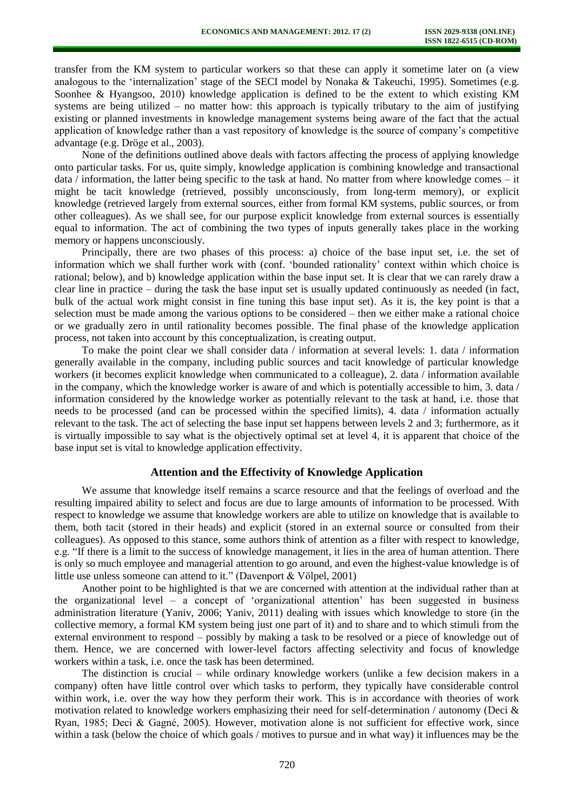transfer from the KM system to particular workers so that these can apply it sometime later on (a view analogous to the 'internalization' stage of the SECI model by Nonaka & Takeuchi, 1995). Sometimes (e.g. Soonhee & Hyangsoo, 2010) knowledge application is defined to be the extent to which existing KM systems are being utilized – no matter how: this approach is typically tributary to the aim of justifying existing or planned investments in knowledge management systems being aware of the fact that the actual application of knowledge rather than a vast repository of knowledge is the source of company's competitive advantage (e.g. Dröge et al., 2003).

None of the definitions outlined above deals with factors affecting the process of applying knowledge onto particular tasks. For us, quite simply, knowledge application is combining knowledge and transactional data / information, the latter being specific to the task at hand. No matter from where knowledge comes – it might be tacit knowledge (retrieved, possibly unconsciously, from long-term memory), or explicit knowledge (retrieved largely from external sources, either from formal KM systems, public sources, or from other colleagues). As we shall see, for our purpose explicit knowledge from external sources is essentially equal to information. The act of combining the two types of inputs generally takes place in the working memory or happens unconsciously.

Principally, there are two phases of this process: a) choice of the base input set, i.e. the set of information which we shall further work with (conf. 'bounded rationality' context within which choice is rational; below), and b) knowledge application within the base input set. It is clear that we can rarely draw a clear line in practice – during the task the base input set is usually updated continuously as needed (in fact, bulk of the actual work might consist in fine tuning this base input set). As it is, the key point is that a selection must be made among the various options to be considered – then we either make a rational choice or we gradually zero in until rationality becomes possible. The final phase of the knowledge application process, not taken into account by this conceptualization, is creating output.

To make the point clear we shall consider data / information at several levels: 1. data / information generally available in the company, including public sources and tacit knowledge of particular knowledge workers (it becomes explicit knowledge when communicated to a colleague), 2. data / information available in the company, which the knowledge worker is aware of and which is potentially accessible to him, 3. data / information considered by the knowledge worker as potentially relevant to the task at hand, i.e. those that needs to be processed (and can be processed within the specified limits), 4. data / information actually relevant to the task. The act of selecting the base input set happens between levels 2 and 3; furthermore, as it is virtually impossible to say what is the objectively optimal set at level 4, it is apparent that choice of the base input set is vital to knowledge application effectivity.

#### **Attention and the Effectivity of Knowledge Application**

We assume that knowledge itself remains a scarce resource and that the feelings of overload and the resulting impaired ability to select and focus are due to large amounts of information to be processed. With respect to knowledge we assume that knowledge workers are able to utilize on knowledge that is available to them, both tacit (stored in their heads) and explicit (stored in an external source or consulted from their colleagues). As opposed to this stance, some authors think of attention as a filter with respect to knowledge, e.g. "If there is a limit to the success of knowledge management, it lies in the area of human attention. There is only so much employee and managerial attention to go around, and even the highest-value knowledge is of little use unless someone can attend to it." (Davenport & Völpel, 2001)

Another point to be highlighted is that we are concerned with attention at the individual rather than at the organizational level – a concept of 'organizational attention' has been suggested in business administration literature (Yaniv, 2006; Yaniv, 2011) dealing with issues which knowledge to store (in the collective memory, a formal KM system being just one part of it) and to share and to which stimuli from the external environment to respond – possibly by making a task to be resolved or a piece of knowledge out of them. Hence, we are concerned with lower-level factors affecting selectivity and focus of knowledge workers within a task, i.e. once the task has been determined.

The distinction is crucial – while ordinary knowledge workers (unlike a few decision makers in a company) often have little control over which tasks to perform, they typically have considerable control within work, i.e. over the way how they perform their work. This is in accordance with theories of work motivation related to knowledge workers emphasizing their need for self-determination / autonomy (Deci  $\&$ Ryan, 1985; Deci & Gagné, 2005). However, motivation alone is not sufficient for effective work, since within a task (below the choice of which goals / motives to pursue and in what way) it influences may be the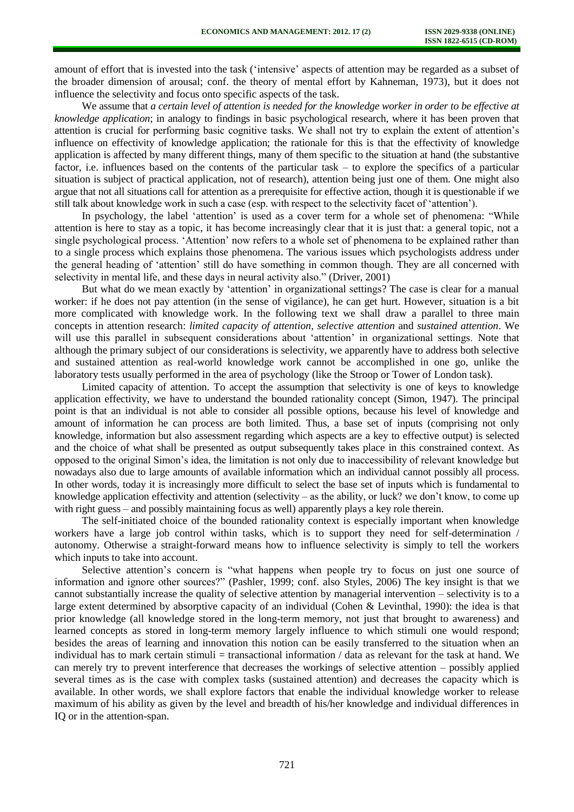amount of effort that is invested into the task ('intensive' aspects of attention may be regarded as a subset of the broader dimension of arousal; conf. the theory of mental effort by Kahneman, 1973), but it does not influence the selectivity and focus onto specific aspects of the task.

We assume that *a certain level of attention is needed for the knowledge worker in order to be effective at knowledge application*; in analogy to findings in basic psychological research, where it has been proven that attention is crucial for performing basic cognitive tasks. We shall not try to explain the extent of attention's influence on effectivity of knowledge application; the rationale for this is that the effectivity of knowledge application is affected by many different things, many of them specific to the situation at hand (the substantive factor, i.e. influences based on the contents of the particular task – to explore the specifics of a particular situation is subject of practical application, not of research), attention being just one of them. One might also argue that not all situations call for attention as a prerequisite for effective action, though it is questionable if we still talk about knowledge work in such a case (esp. with respect to the selectivity facet of 'attention').

In psychology, the label 'attention' is used as a cover term for a whole set of phenomena: "While attention is here to stay as a topic, it has become increasingly clear that it is just that: a general topic, not a single psychological process. 'Attention' now refers to a whole set of phenomena to be explained rather than to a single process which explains those phenomena. The various issues which psychologists address under the general heading of 'attention' still do have something in common though. They are all concerned with selectivity in mental life, and these days in neural activity also." (Driver, 2001)

But what do we mean exactly by 'attention' in organizational settings? The case is clear for a manual worker: if he does not pay attention (in the sense of vigilance), he can get hurt. However, situation is a bit more complicated with knowledge work. In the following text we shall draw a parallel to three main concepts in attention research: *limited capacity of attention*, *selective attention* and *sustained attention*. We will use this parallel in subsequent considerations about 'attention' in organizational settings. Note that although the primary subject of our considerations is selectivity, we apparently have to address both selective and sustained attention as real-world knowledge work cannot be accomplished in one go, unlike the laboratory tests usually performed in the area of psychology (like the Stroop or Tower of London task).

Limited capacity of attention. To accept the assumption that selectivity is one of keys to knowledge application effectivity, we have to understand the bounded rationality concept (Simon, 1947). The principal point is that an individual is not able to consider all possible options, because his level of knowledge and amount of information he can process are both limited. Thus, a base set of inputs (comprising not only knowledge, information but also assessment regarding which aspects are a key to effective output) is selected and the choice of what shall be presented as output subsequently takes place in this constrained context. As opposed to the original Simon's idea, the limitation is not only due to inaccessibility of relevant knowledge but nowadays also due to large amounts of available information which an individual cannot possibly all process. In other words, today it is increasingly more difficult to select the base set of inputs which is fundamental to knowledge application effectivity and attention (selectivity – as the ability, or luck? we don't know, to come up with right guess – and possibly maintaining focus as well) apparently plays a key role therein.

The self-initiated choice of the bounded rationality context is especially important when knowledge workers have a large job control within tasks, which is to support they need for self-determination / autonomy. Otherwise a straight-forward means how to influence selectivity is simply to tell the workers which inputs to take into account.

Selective attention's concern is "what happens when people try to focus on just one source of information and ignore other sources?" (Pashler, 1999; conf. also Styles, 2006) The key insight is that we cannot substantially increase the quality of selective attention by managerial intervention – selectivity is to a large extent determined by absorptive capacity of an individual (Cohen & Levinthal, 1990): the idea is that prior knowledge (all knowledge stored in the long-term memory, not just that brought to awareness) and learned concepts as stored in long-term memory largely influence to which stimuli one would respond; besides the areas of learning and innovation this notion can be easily transferred to the situation when an individual has to mark certain stimuli  $=$  transactional information  $\alpha$  data as relevant for the task at hand. We can merely try to prevent interference that decreases the workings of selective attention – possibly applied several times as is the case with complex tasks (sustained attention) and decreases the capacity which is available. In other words, we shall explore factors that enable the individual knowledge worker to release maximum of his ability as given by the level and breadth of his/her knowledge and individual differences in IQ or in the attention-span.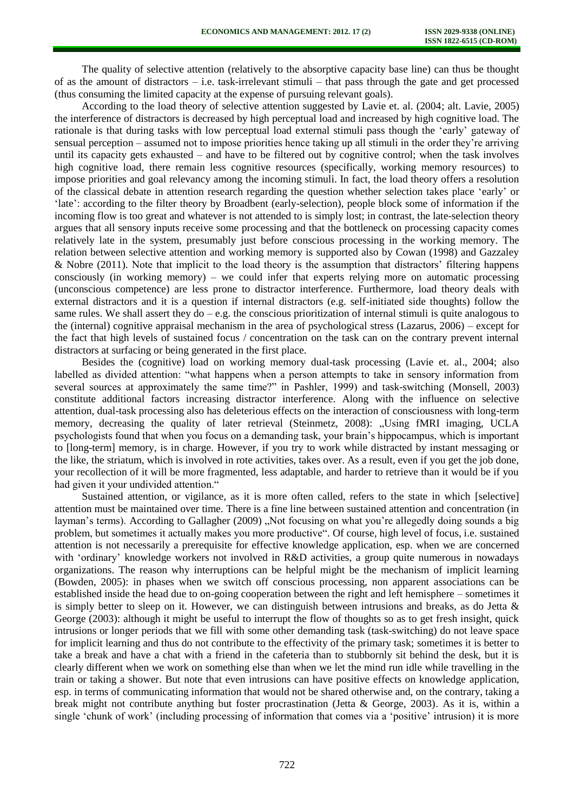The quality of selective attention (relatively to the absorptive capacity base line) can thus be thought of as the amount of distractors – i.e. task-irrelevant stimuli – that pass through the gate and get processed (thus consuming the limited capacity at the expense of pursuing relevant goals).

According to the load theory of selective attention suggested by Lavie et. al. (2004; alt. Lavie, 2005) the interference of distractors is decreased by high perceptual load and increased by high cognitive load. The rationale is that during tasks with low perceptual load external stimuli pass though the 'early' gateway of sensual perception – assumed not to impose priorities hence taking up all stimuli in the order they're arriving until its capacity gets exhausted – and have to be filtered out by cognitive control; when the task involves high cognitive load, there remain less cognitive resources (specifically, working memory resources) to impose priorities and goal relevancy among the incoming stimuli. In fact, the load theory offers a resolution of the classical debate in attention research regarding the question whether selection takes place 'early' or 'late': according to the filter theory by Broadbent (early-selection), people block some of information if the incoming flow is too great and whatever is not attended to is simply lost; in contrast, the late-selection theory argues that all sensory inputs receive some processing and that the bottleneck on processing capacity comes relatively late in the system, presumably just before conscious processing in the working memory. The relation between selective attention and working memory is supported also by Cowan (1998) and Gazzaley & Nobre (2011). Note that implicit to the load theory is the assumption that distractors' filtering happens consciously (in working memory) – we could infer that experts relying more on automatic processing (unconscious competence) are less prone to distractor interference. Furthermore, load theory deals with external distractors and it is a question if internal distractors (e.g. self-initiated side thoughts) follow the same rules. We shall assert they  $do - e.g.$  the conscious prioritization of internal stimuli is quite analogous to the (internal) cognitive appraisal mechanism in the area of psychological stress (Lazarus, 2006) – except for the fact that high levels of sustained focus / concentration on the task can on the contrary prevent internal distractors at surfacing or being generated in the first place.

Besides the (cognitive) load on working memory dual-task processing (Lavie et. al., 2004; also labelled as divided attention: "what happens when a person attempts to take in sensory information from several sources at approximately the same time?" in Pashler, 1999) and task-switching (Monsell, 2003) constitute additional factors increasing distractor interference. Along with the influence on selective attention, dual-task processing also has deleterious effects on the interaction of consciousness with long-term memory, decreasing the quality of later retrieval (Steinmetz, 2008): "Using fMRI imaging, UCLA psychologists found that when you focus on a demanding task, your brain's hippocampus, which is important to [long-term] memory, is in charge. However, if you try to work while distracted by instant messaging or the like, the striatum, which is involved in rote activities, takes over. As a result, even if you get the job done, your recollection of it will be more fragmented, less adaptable, and harder to retrieve than it would be if you had given it your undivided attention."

Sustained attention, or vigilance, as it is more often called, refers to the state in which [selective] attention must be maintained over time. There is a fine line between sustained attention and concentration (in layman's terms). According to Gallagher (2009) "Not focusing on what you're allegedly doing sounds a big problem, but sometimes it actually makes you more productive". Of course, high level of focus, i.e. sustained attention is not necessarily a prerequisite for effective knowledge application, esp. when we are concerned with 'ordinary' knowledge workers not involved in R&D activities, a group quite numerous in nowadays organizations. The reason why interruptions can be helpful might be the mechanism of implicit learning (Bowden, 2005): in phases when we switch off conscious processing, non apparent associations can be established inside the head due to on-going cooperation between the right and left hemisphere – sometimes it is simply better to sleep on it. However, we can distinguish between intrusions and breaks, as do Jetta  $\&$ George (2003): although it might be useful to interrupt the flow of thoughts so as to get fresh insight, quick intrusions or longer periods that we fill with some other demanding task (task-switching) do not leave space for implicit learning and thus do not contribute to the effectivity of the primary task; sometimes it is better to take a break and have a chat with a friend in the cafeteria than to stubbornly sit behind the desk, but it is clearly different when we work on something else than when we let the mind run idle while travelling in the train or taking a shower. But note that even intrusions can have positive effects on knowledge application, esp. in terms of communicating information that would not be shared otherwise and, on the contrary, taking a break might not contribute anything but foster procrastination (Jetta & George, 2003). As it is, within a single 'chunk of work' (including processing of information that comes via a 'positive' intrusion) it is more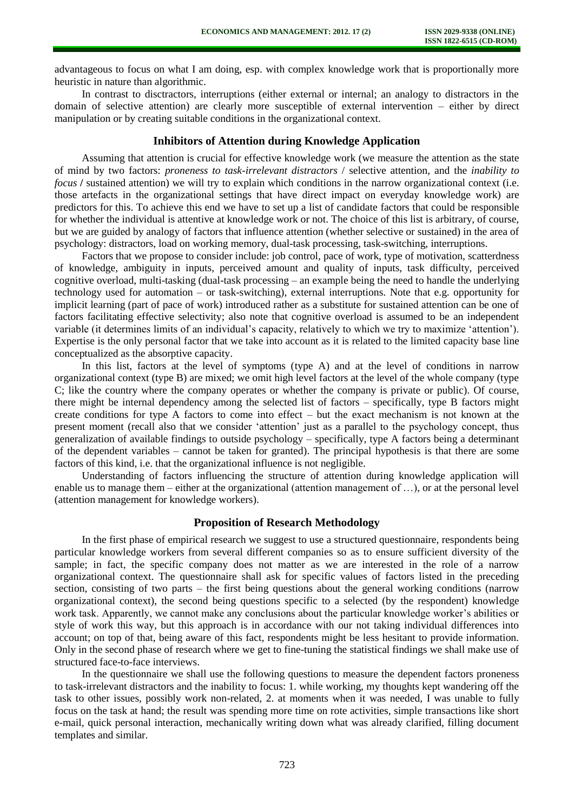advantageous to focus on what I am doing, esp. with complex knowledge work that is proportionally more heuristic in nature than algorithmic.

In contrast to disctractors, interruptions (either external or internal; an analogy to distractors in the domain of selective attention) are clearly more susceptible of external intervention – either by direct manipulation or by creating suitable conditions in the organizational context.

## **Inhibitors of Attention during Knowledge Application**

Assuming that attention is crucial for effective knowledge work (we measure the attention as the state of mind by two factors: *proneness to task-irrelevant distractors* / selective attention, and the *inability to focus /* sustained attention) we will try to explain which conditions in the narrow organizational context (i.e. those artefacts in the organizational settings that have direct impact on everyday knowledge work) are predictors for this. To achieve this end we have to set up a list of candidate factors that could be responsible for whether the individual is attentive at knowledge work or not. The choice of this list is arbitrary, of course, but we are guided by analogy of factors that influence attention (whether selective or sustained) in the area of psychology: distractors, load on working memory, dual-task processing, task-switching, interruptions.

Factors that we propose to consider include: job control, pace of work, type of motivation, scatterdness of knowledge, ambiguity in inputs, perceived amount and quality of inputs, task difficulty, perceived cognitive overload, multi-tasking (dual-task processing – an example being the need to handle the underlying technology used for automation – or task-switching), external interruptions. Note that e.g. opportunity for implicit learning (part of pace of work) introduced rather as a substitute for sustained attention can be one of factors facilitating effective selectivity; also note that cognitive overload is assumed to be an independent variable (it determines limits of an individual's capacity, relatively to which we try to maximize 'attention'). Expertise is the only personal factor that we take into account as it is related to the limited capacity base line conceptualized as the absorptive capacity.

In this list, factors at the level of symptoms (type A) and at the level of conditions in narrow organizational context (type B) are mixed; we omit high level factors at the level of the whole company (type C; like the country where the company operates or whether the company is private or public). Of course, there might be internal dependency among the selected list of factors – specifically, type B factors might create conditions for type A factors to come into effect – but the exact mechanism is not known at the present moment (recall also that we consider 'attention' just as a parallel to the psychology concept, thus generalization of available findings to outside psychology – specifically, type A factors being a determinant of the dependent variables – cannot be taken for granted). The principal hypothesis is that there are some factors of this kind, i.e. that the organizational influence is not negligible.

Understanding of factors influencing the structure of attention during knowledge application will enable us to manage them – either at the organizational (attention management of …), or at the personal level (attention management for knowledge workers).

## **Proposition of Research Methodology**

In the first phase of empirical research we suggest to use a structured questionnaire, respondents being particular knowledge workers from several different companies so as to ensure sufficient diversity of the sample; in fact, the specific company does not matter as we are interested in the role of a narrow organizational context. The questionnaire shall ask for specific values of factors listed in the preceding section, consisting of two parts – the first being questions about the general working conditions (narrow organizational context), the second being questions specific to a selected (by the respondent) knowledge work task. Apparently, we cannot make any conclusions about the particular knowledge worker's abilities or style of work this way, but this approach is in accordance with our not taking individual differences into account; on top of that, being aware of this fact, respondents might be less hesitant to provide information. Only in the second phase of research where we get to fine-tuning the statistical findings we shall make use of structured face-to-face interviews.

In the questionnaire we shall use the following questions to measure the dependent factors proneness to task-irrelevant distractors and the inability to focus: 1. while working, my thoughts kept wandering off the task to other issues, possibly work non-related, 2. at moments when it was needed, I was unable to fully focus on the task at hand; the result was spending more time on rote activities, simple transactions like short e-mail, quick personal interaction, mechanically writing down what was already clarified, filling document templates and similar.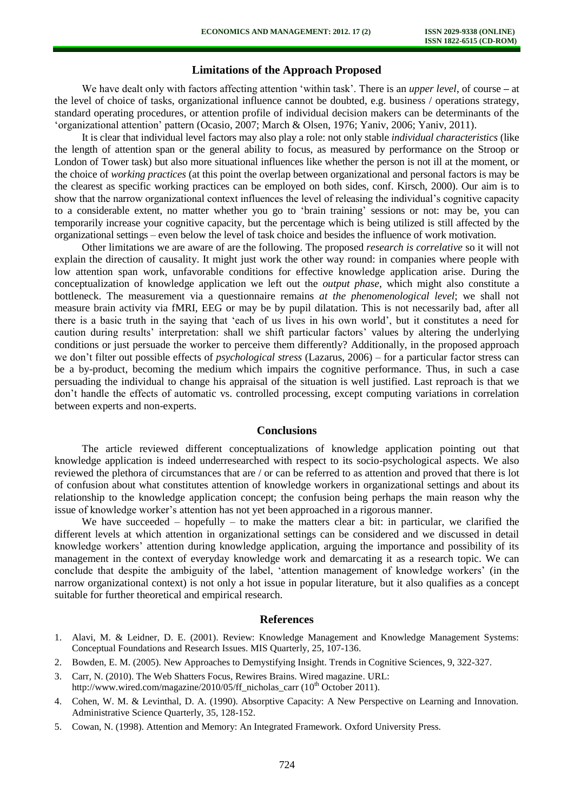# **Limitations of the Approach Proposed**

We have dealt only with factors affecting attention 'within task'. There is an *upper level*, of course **–** at the level of choice of tasks, organizational influence cannot be doubted, e.g. business / operations strategy, standard operating procedures, or attention profile of individual decision makers can be determinants of the 'organizational attention' pattern (Ocasio, 2007; March & Olsen, 1976; Yaniv, 2006; Yaniv, 2011).

It is clear that individual level factors may also play a role: not only stable *individual characteristics* (like the length of attention span or the general ability to focus, as measured by performance on the Stroop or London of Tower task) but also more situational influences like whether the person is not ill at the moment, or the choice of *working practices* (at this point the overlap between organizational and personal factors is may be the clearest as specific working practices can be employed on both sides, conf. Kirsch, 2000). Our aim is to show that the narrow organizational context influences the level of releasing the individual's cognitive capacity to a considerable extent, no matter whether you go to 'brain training' sessions or not: may be, you can temporarily increase your cognitive capacity, but the percentage which is being utilized is still affected by the organizational settings – even below the level of task choice and besides the influence of work motivation.

Other limitations we are aware of are the following. The proposed *research is correlative* so it will not explain the direction of causality. It might just work the other way round: in companies where people with low attention span work, unfavorable conditions for effective knowledge application arise. During the conceptualization of knowledge application we left out the *output phase*, which might also constitute a bottleneck. The measurement via a questionnaire remains *at the phenomenological level*; we shall not measure brain activity via fMRI, EEG or may be by pupil dilatation. This is not necessarily bad, after all there is a basic truth in the saying that 'each of us lives in his own world', but it constitutes a need for caution during results' interpretation: shall we shift particular factors' values by altering the underlying conditions or just persuade the worker to perceive them differently? Additionally, in the proposed approach we don't filter out possible effects of *psychological stress* (Lazarus, 2006) – for a particular factor stress can be a by-product, becoming the medium which impairs the cognitive performance. Thus, in such a case persuading the individual to change his appraisal of the situation is well justified. Last reproach is that we don't handle the effects of automatic vs. controlled processing, except computing variations in correlation between experts and non-experts.

#### **Conclusions**

The article reviewed different conceptualizations of knowledge application pointing out that knowledge application is indeed underresearched with respect to its socio-psychological aspects. We also reviewed the plethora of circumstances that are / or can be referred to as attention and proved that there is lot of confusion about what constitutes attention of knowledge workers in organizational settings and about its relationship to the knowledge application concept; the confusion being perhaps the main reason why the issue of knowledge worker's attention has not yet been approached in a rigorous manner.

We have succeeded – hopefully – to make the matters clear a bit: in particular, we clarified the different levels at which attention in organizational settings can be considered and we discussed in detail knowledge workers' attention during knowledge application, arguing the importance and possibility of its management in the context of everyday knowledge work and demarcating it as a research topic. We can conclude that despite the ambiguity of the label, 'attention management of knowledge workers' (in the narrow organizational context) is not only a hot issue in popular literature, but it also qualifies as a concept suitable for further theoretical and empirical research.

#### **References**

- 1. Alavi, M. & Leidner, D. E. (2001). Review: Knowledge Management and Knowledge Management Systems: Conceptual Foundations and Research Issues. MIS Quarterly, 25, 107-136.
- 2. Bowden, E. M. (2005). New Approaches to Demystifying Insight. Trends in Cognitive Sciences, 9, 322-327.
- 3. Carr, N. (2010). The Web Shatters Focus, Rewires Brains. Wired magazine. URL: http://www.wired.com/magazine/2010/05/ff\_nicholas\_carr (10<sup>th</sup> October 2011).
- 4. Cohen, W. M. & Levinthal, D. A. (1990). Absorptive Capacity: A New Perspective on Learning and Innovation. Administrative Science Quarterly, 35, 128-152.
- 5. Cowan, N. (1998). Attention and Memory: An Integrated Framework. Oxford University Press.